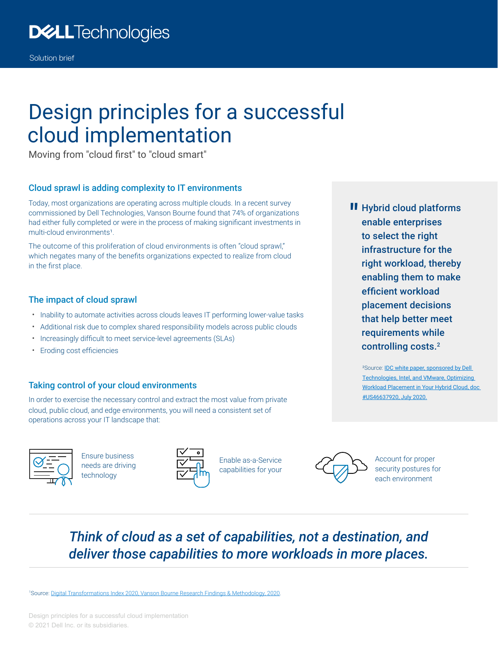# Design principles for a successful cloud implementation

Moving from "cloud first" to "cloud smart"

#### Cloud sprawl is adding complexity to IT environments

Today, most organizations are operating across multiple clouds. In a recent survey commissioned by Dell Technologies, Vanson Bourne found that 74% of organizations had either fully completed or were in the process of making significant investments in multi-cloud environments<sup>1</sup>.

The outcome of this proliferation of cloud environments is often "cloud sprawl," which negates many of the benefits organizations expected to realize from cloud in the first place.

#### The impact of cloud sprawl

- Inability to automate activities across clouds leaves IT performing lower-value tasks
- Additional risk due to complex shared responsibility models across public clouds
- Increasingly difficult to meet service-level agreements (SLAs)
- Eroding cost efficiencies

#### Taking control of your cloud environments

In order to exercise the necessary control and extract the most value from private cloud, public cloud, and edge environments, you will need a consistent set of operations across your IT landscape that:



Ensure business needs are driving technology



Enable as-a-Service capabilities for your



Account for proper security postures for each environment

### *Think of cloud as a set of capabilities, not a destination, and deliver those capabilities to more workloads in more places.*

1 Source: [Digital Transformations Index 2020, Vanson Bourne Research Findings & Methodology, 2020](https://www.delltechnologies.com/en-us/perspectives/digital-transformation-index.htm#scroll=off&overlay=/en-us/collaterals/unauth/briefs-handouts/solutions/dt-index-2020-executive-summary.pdf).

Design principles for a successful cloud implementation © 2021 Dell Inc. or its subsidiaries.

**II** Hybrid cloud platforms<br>
enable enterprises enable enterprises to select the right infrastructure for the right workload, thereby enabling them to make efficient workload placement decisions that help better meet requirements while controlling costs.2

²Source: [IDC white paper, sponsored by Dell](https://www.delltechnologies.com/en-us/collaterals/unauth/analyst-reports/solutions/idc-optimizing-workload-placement-in-your-hybrid-cloud.pdf)  [Technologies, Intel, and VMware, Optimizing](https://www.delltechnologies.com/en-us/collaterals/unauth/analyst-reports/solutions/idc-optimizing-workload-placement-in-your-hybrid-cloud.pdf)  [Workload Placement in Your Hybrid Cloud, doc](https://www.delltechnologies.com/en-us/collaterals/unauth/analyst-reports/solutions/idc-optimizing-workload-placement-in-your-hybrid-cloud.pdf)  #US46637920, July 2020.